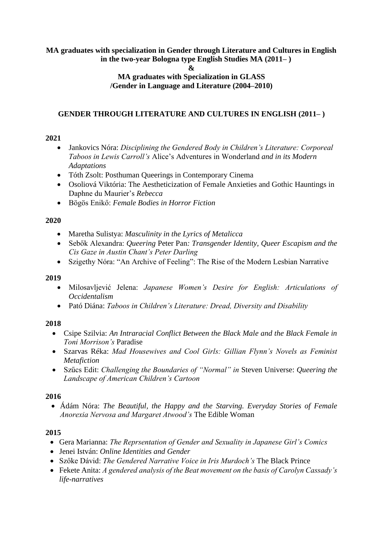### **MA graduates with specialization in Gender through Literature and Cultures in English in the two-year Bologna type English Studies MA (2011– )**

**&**

# **MA graduates with Specialization in GLASS /Gender in Language and Literature (2004–2010)**

# **GENDER THROUGH LITERATURE AND CULTURES IN ENGLISH (2011– )**

#### **2021**

- Jankovics Nóra: *Disciplining the Gendered Body in Children's Literature: Corporeal Taboos in Lewis Carroll's* Alice's Adventures in Wonderland *and in its Modern Adaptations*
- Tóth Zsolt: Posthuman Queerings in Contemporary Cinema
- Osoliová Viktória: The Aestheticization of Female Anxieties and Gothic Hauntings in Daphne du Maurier's *Rebecca*
- Bögös Enikő: *Female Bodies in Horror Fiction*

# **2020**

- Maretha Sulistya: *Masculinity in the Lyrics of Metalicca*
- Sebők Alexandra: *Queering* Peter Pan*: Transgender Identity, Queer Escapism and the Cis Gaze in Austin Chant's Peter Darling*
- Szigethy Nóra: "An Archive of Feeling": The Rise of the Modern Lesbian Narrative

# **2019**

- Milosavljević Jelena: *Japanese Women's Desire for English: Articulations of Occidentalism*
- Pató Diána: *Taboos in Children's Literature: Dread, Diversity and Disability*

# **2018**

- Csipe Szilvia: *An Intraracial Conflict Between the Black Male and the Black Female in Toni Morrison's* Paradise
- Szarvas Réka: *Mad Housewives and Cool Girls: Gillian Flynn's Novels as Feminist Metafiction*
- Szűcs Edit: *Challenging the Boundaries of "Normal" in* Steven Universe: *Queering the Landscape of American Children's Cartoon*

# **2016**

• Ádám Nóra: *The Beautiful, the Happy and the Starving. Everyday Stories of Female Anorexia Nervosa and Margaret Atwood's* The Edible Woman

# **2015**

- Gera Marianna: *The Reprsentation of Gender and Sexuality in Japanese Girl's Comics*
- Jenei István: *Online Identities and Gender*
- Szőke Dávid: *The Gendered Narrative Voice in Iris Murdoch's* The Black Prince
- Fekete Anita: *A gendered analysis of the Beat movement on the basis of Carolyn Cassady's life-narratives*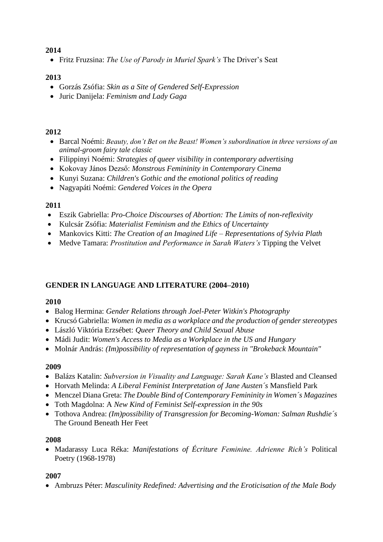# **2014**

• Fritz Fruzsina: *The Use of Parody in Muriel Spark's* The Driver's Seat

# **2013**

- Gorzás Zsófia: *Skin as a Site of Gendered Self-Expression*
- Juric Danijela: *Feminism and Lady Gaga*

# **2012**

- Barcal Noémi: *Beauty, don't Bet on the Beast! Women's subordination in three versions of an animal-groom fairy tale classic*
- Filippinyi Noémi: *Strategies of queer visibility in contemporary advertising*
- Kokovay János Dezső: *Monstrous Femininity in Contemporary Cinema*
- Kunyi Suzana: *Children's Gothic and the emotional politics of reading*
- Nagyapáti Noémi: *Gendered Voices in the Opera*

#### **2011**

- Eszik Gabriella: *Pro-Choice Discourses of Abortion: The Limits of non-reflexivity*
- Kulcsár Zsófia: *Materialist Feminism and the Ethics of Uncertainty*
- Mankovics Kitti: *The Creation of an Imagined Life – Representations of Sylvia Plath*
- Medve Tamara: *Prostitution and Performance in Sarah Waters's* Tipping the Velvet

# **GENDER IN LANGUAGE AND LITERATURE (2004–2010)**

# **2010**

- Balog Hermina: *Gender Relations through Joel-Peter Witkin's Photography*
- Krucsó Gabriella: *Women in media as a workplace and the production of gender stereotypes*
- László Viktória Erzsébet: *Queer Theory and Child Sexual Abuse*
- Mádi Judit: *Women's Access to Media as a Workplace in the US and Hungary*
- Molnár András: *(Im)possibility of representation of gayness in "Brokeback Mountain"*

# **2009**

- Balázs Katalin: *Subversion in Visuality and Language: Sarah Kane's* Blasted and Cleansed
- Horvath Melinda: *A Liberal Feminist Interpretation of Jane Austen´s* Mansfield Park
- Menczel Diana Greta: *The Double Bind of Contemporary Femininity in Women´s Magazines*
- Toth Magdolna: A *New Kind of Feminist Self-expression in the 90s*
- Tothova Andrea: *(Im)possibility of Transgression for Becoming-Woman: Salman Rushdie´s*  The Ground Beneath Her Feet

# **2008**

• Madarassy Luca Réka: *Manifestations of Écriture Feminine. Adrienne Rich's* Political Poetry (1968-1978)

# **2007**

• Ambruzs Péter: *Masculinity Redefined: Advertising and the Eroticisation of the Male Body*